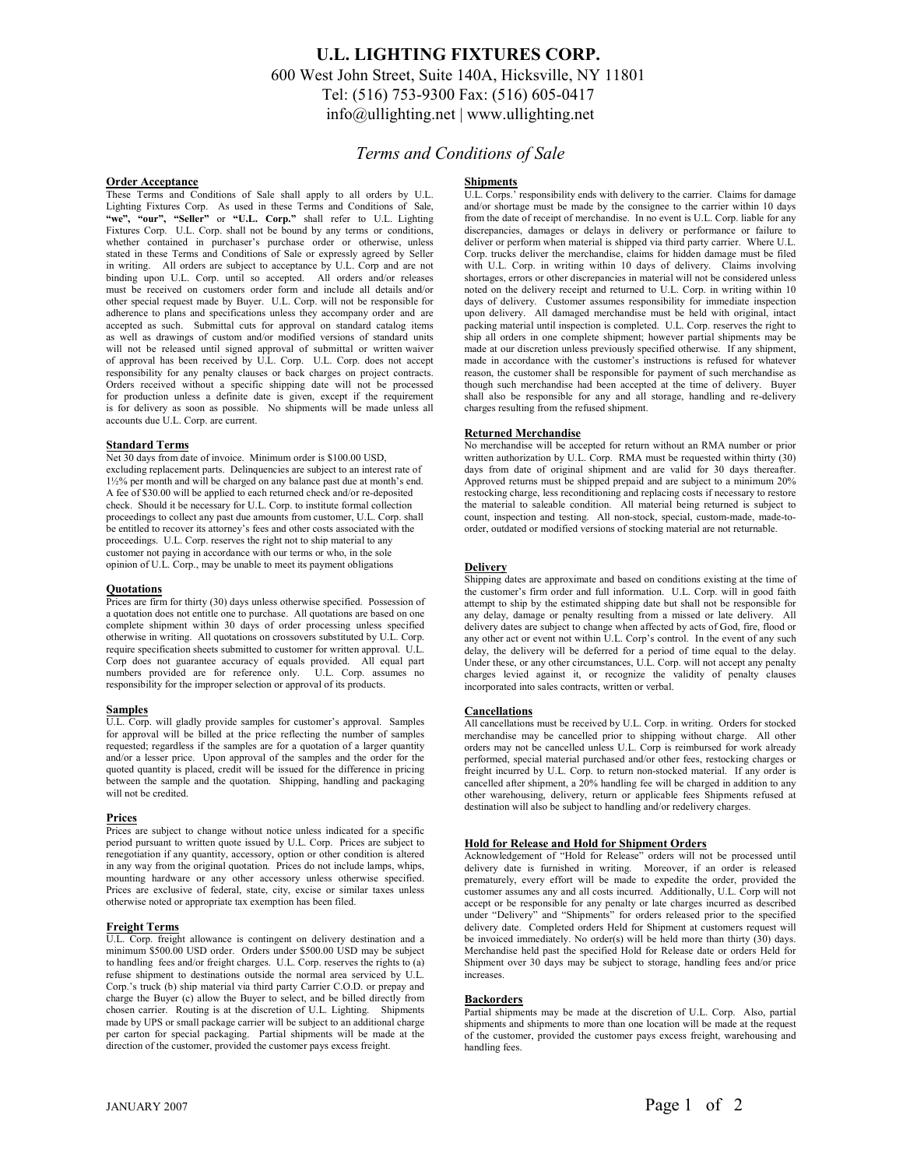# **U.L. LIGHTING FIXTURES CORP.** 600 West John Street, Suite 140A, Hicksville, NY 11801 Tel: (516) 753-9300 Fax: (516) 605-0417 info@ullighting.net | www.ullighting.net

# *Terms and Conditions of Sale*

#### **Order Acceptance**

These Terms and Conditions of Sale shall apply to all orders by U.L. Lighting Fixtures Corp. As used in these Terms and Conditions of Sale, **"we", "our", "Seller"** or **"U.L. Corp."** shall refer to U.L. Lighting Fixtures Corp. U.L. Corp. shall not be bound by any terms or conditions, whether contained in purchaser's purchase order or otherwise, unless stated in these Terms and Conditions of Sale or expressly agreed by Seller in writing. All orders are subject to acceptance by U.L. Corp and are not binding upon U.L. Corp. until so accepted. All orders and/or releases must be received on customers order form and include all details and/or other special request made by Buyer. U.L. Corp. will not be responsible for adherence to plans and specifications unless they accompany order and are accepted as such. Submittal cuts for approval on standard catalog items as well as drawings of custom and/or modified versions of standard units will not be released until signed approval of submittal or written waiver of approval has been received by U.L. Corp. U.L. Corp. does not accept responsibility for any penalty clauses or back charges on project contracts. Orders received without a specific shipping date will not be processed for production unless a definite date is given, except if the requirement is for delivery as soon as possible. No shipments will be made unless all accounts due U.L. Corp. are current.

#### **Standard Terms**

Net 30 days from date of invoice. Minimum order is \$100.00 USD, excluding replacement parts. Delinquencies are subject to an interest rate of 1½% per month and will be charged on any balance past due at month's end. A fee of \$30.00 will be applied to each returned check and/or re-deposited check. Should it be necessary for U.L. Corp. to institute formal collection proceedings to collect any past due amounts from customer, U.L. Corp. shall be entitled to recover its attorney's fees and other costs associated with the proceedings. U.L. Corp. reserves the right not to ship material to any customer not paying in accordance with our terms or who, in the sole opinion of U.L. Corp., may be unable to meet its payment obligations

#### **Quotations**

Prices are firm for thirty (30) days unless otherwise specified. Possession of a quotation does not entitle one to purchase. All quotations are based on one complete shipment within 30 days of order processing unless specified otherwise in writing. All quotations on crossovers substituted by U.L. Corp. require specification sheets submitted to customer for written approval. U.L. Corp does not guarantee accuracy of equals provided. All equal part numbers provided are for reference only. U.L. Corp. assumes no responsibility for the improper selection or approval of its products.

#### **Samples**

U.L. Corp. will gladly provide samples for customer's approval. Samples for approval will be billed at the price reflecting the number of samples requested; regardless if the samples are for a quotation of a larger quantity and/or a lesser price. Upon approval of the samples and the order for the quoted quantity is placed, credit will be issued for the difference in pricing between the sample and the quotation. Shipping, handling and packaging will not be credited.

## **Prices**

Prices are subject to change without notice unless indicated for a specific period pursuant to written quote issued by U.L. Corp. Prices are subject to renegotiation if any quantity, accessory, option or other condition is altered in any way from the original quotation. Prices do not include lamps, whips, mounting hardware or any other accessory unless otherwise specified. Prices are exclusive of federal, state, city, excise or similar taxes unless otherwise noted or appropriate tax exemption has been filed.

### **Freight Terms**

U.L. Corp. freight allowance is contingent on delivery destination and a minimum \$500.00 USD order. Orders under \$500.00 USD may be subject to handling fees and/or freight charges. U.L. Corp. reserves the rights to (a) refuse shipment to destinations outside the normal area serviced by U.L. Corp.'s truck (b) ship material via third party Carrier C.O.D. or prepay and charge the Buyer (c) allow the Buyer to select, and be billed directly from chosen carrier. Routing is at the discretion of U.L. Lighting. Shipments made by UPS or small package carrier will be subject to an additional charge per carton for special packaging. Partial shipments will be made at the direction of the customer, provided the customer pays excess freight.

## **Shipments**

U.L. Corps.' responsibility ends with delivery to the carrier. Claims for damage and/or shortage must be made by the consignee to the carrier within 10 days from the date of receipt of merchandise. In no event is U.L. Corp. liable for any discrepancies, damages or delays in delivery or performance or failure to deliver or perform when material is shipped via third party carrier. Where U.L. Corp. trucks deliver the merchandise, claims for hidden damage must be filed with U.L. Corp. in writing within 10 days of delivery. Claims involving shortages, errors or other discrepancies in material will not be considered unless noted on the delivery receipt and returned to U.L. Corp. in writing within 10 days of delivery. Customer assumes responsibility for immediate inspection upon delivery. All damaged merchandise must be held with original, intact packing material until inspection is completed. U.L. Corp. reserves the right to ship all orders in one complete shipment; however partial shipments may be made at our discretion unless previously specified otherwise. If any shipment, made in accordance with the customer's instructions is refused for whatever reason, the customer shall be responsible for payment of such merchandise as though such merchandise had been accepted at the time of delivery. Buyer shall also be responsible for any and all storage, handling and re-delivery charges resulting from the refused shipment.

#### **Returned Merchandise**

No merchandise will be accepted for return without an RMA number or prior written authorization by U.L. Corp. RMA must be requested within thirty (30) days from date of original shipment and are valid for 30 days thereafter. Approved returns must be shipped prepaid and are subject to a minimum 20% restocking charge, less reconditioning and replacing costs if necessary to restore the material to saleable condition. All material being returned is subject to count, inspection and testing. All non-stock, special, custom-made, made-toorder, outdated or modified versions of stocking material are not returnable.

#### **Delivery**

Shipping dates are approximate and based on conditions existing at the time of the customer's firm order and full information. U.L. Corp. will in good faith attempt to ship by the estimated shipping date but shall not be responsible for any delay, damage or penalty resulting from a missed or late delivery. All delivery dates are subject to change when affected by acts of God, fire, flood or any other act or event not within U.L. Corp's control. In the event of any such delay, the delivery will be deferred for a period of time equal to the delay. Under these, or any other circumstances, U.L. Corp. will not accept any penalty charges levied against it, or recognize the validity of penalty clauses incorporated into sales contracts, written or verbal.

#### **Cancellations**

All cancellations must be received by U.L. Corp. in writing. Orders for stocked merchandise may be cancelled prior to shipping without charge. All other orders may not be cancelled unless U.L. Corp is reimbursed for work already performed, special material purchased and/or other fees, restocking charges or freight incurred by U.L. Corp. to return non-stocked material. If any order is cancelled after shipment, a 20% handling fee will be charged in addition to any other warehousing, delivery, return or applicable fees Shipments refused at destination will also be subject to handling and/or redelivery charges.

## **Hold for Release and Hold for Shipment Orders**

Acknowledgement of "Hold for Release" orders will not be processed until delivery date is furnished in writing. Moreover, if an order is released prematurely, every effort will be made to expedite the order, provided the customer assumes any and all costs incurred. Additionally, U.L. Corp will not accept or be responsible for any penalty or late charges incurred as described under "Delivery" and "Shipments" for orders released prior to the specified delivery date. Completed orders Held for Shipment at customers request will be invoiced immediately. No order(s) will be held more than thirty (30) days. Merchandise held past the specified Hold for Release date or orders Held for Shipment over 30 days may be subject to storage, handling fees and/or price increases.

#### **Backorders**

Partial shipments may be made at the discretion of U.L. Corp. Also, partial shipments and shipments to more than one location will be made at the request of the customer, provided the customer pays excess freight, warehousing and handling fees.